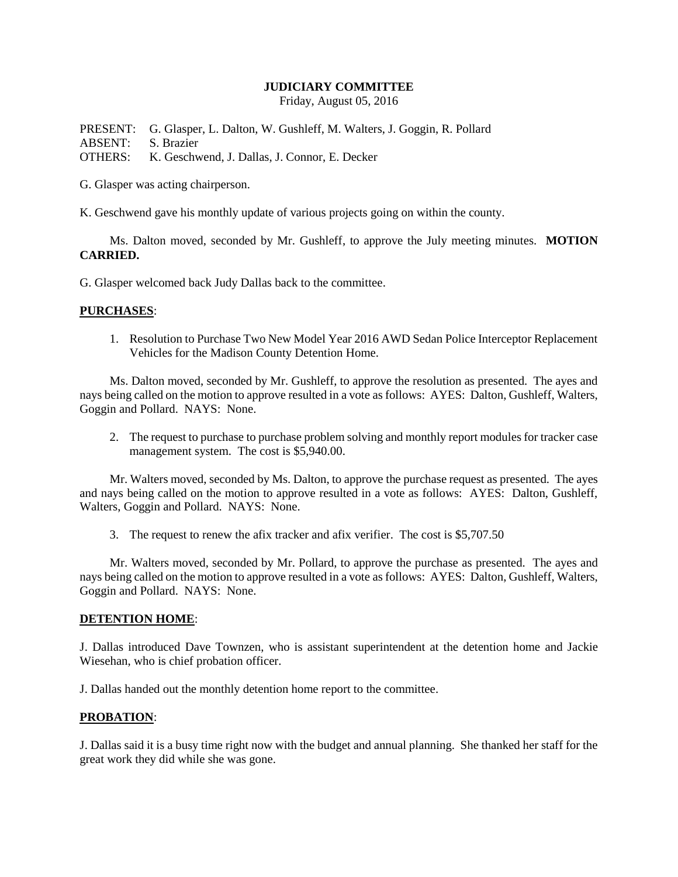### **JUDICIARY COMMITTEE**

Friday, August 05, 2016

PRESENT: G. Glasper, L. Dalton, W. Gushleff, M. Walters, J. Goggin, R. Pollard ABSENT: S. Brazier OTHERS: K. Geschwend, J. Dallas, J. Connor, E. Decker

G. Glasper was acting chairperson.

K. Geschwend gave his monthly update of various projects going on within the county.

Ms. Dalton moved, seconded by Mr. Gushleff, to approve the July meeting minutes. **MOTION CARRIED.**

G. Glasper welcomed back Judy Dallas back to the committee.

### **PURCHASES**:

1. Resolution to Purchase Two New Model Year 2016 AWD Sedan Police Interceptor Replacement Vehicles for the Madison County Detention Home.

Ms. Dalton moved, seconded by Mr. Gushleff, to approve the resolution as presented. The ayes and nays being called on the motion to approve resulted in a vote as follows: AYES: Dalton, Gushleff, Walters, Goggin and Pollard. NAYS: None.

2. The request to purchase to purchase problem solving and monthly report modules for tracker case management system. The cost is \$5,940.00.

Mr. Walters moved, seconded by Ms. Dalton, to approve the purchase request as presented. The ayes and nays being called on the motion to approve resulted in a vote as follows: AYES: Dalton, Gushleff, Walters, Goggin and Pollard. NAYS: None.

3. The request to renew the afix tracker and afix verifier. The cost is \$5,707.50

Mr. Walters moved, seconded by Mr. Pollard, to approve the purchase as presented. The ayes and nays being called on the motion to approve resulted in a vote as follows: AYES: Dalton, Gushleff, Walters, Goggin and Pollard. NAYS: None.

#### **DETENTION HOME**:

J. Dallas introduced Dave Townzen, who is assistant superintendent at the detention home and Jackie Wiesehan, who is chief probation officer.

J. Dallas handed out the monthly detention home report to the committee.

# **PROBATION**:

J. Dallas said it is a busy time right now with the budget and annual planning. She thanked her staff for the great work they did while she was gone.